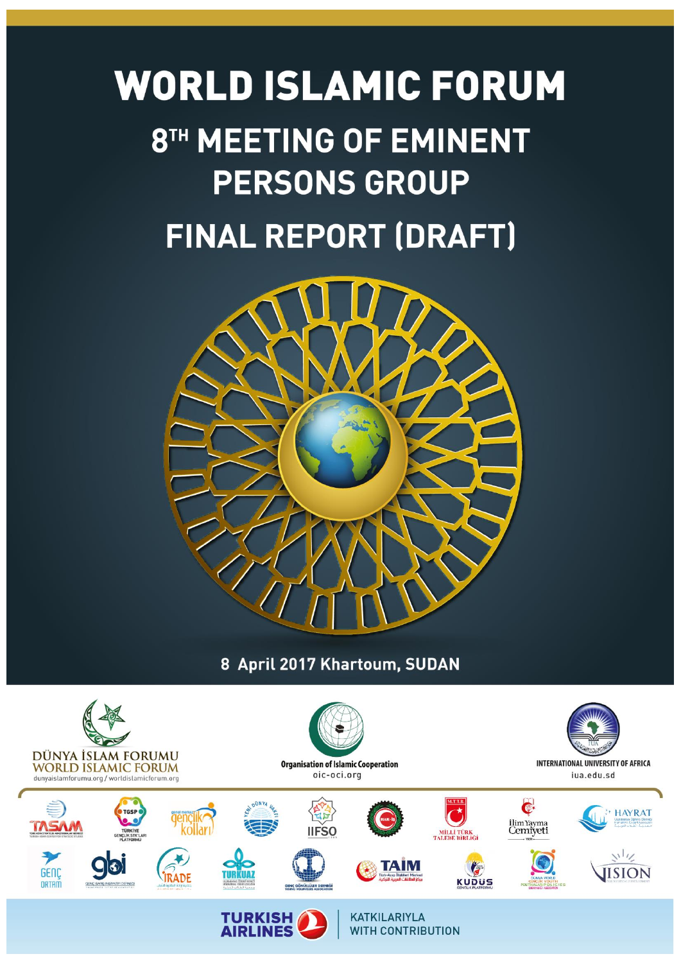

8 April 2017 Khartoum, SUDAN

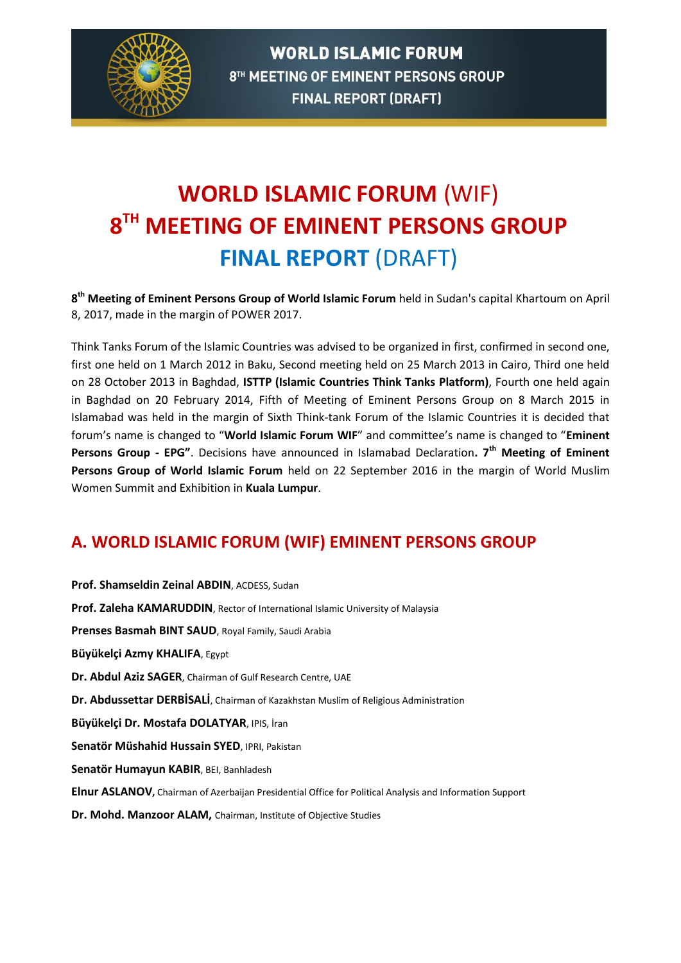

## **WORLD ISLAMIC FORUM** (WIF) **8 TH MEETING OF EMINENT PERSONS GROUP FINAL REPORT** (DRAFT)

**8 th Meeting of Eminent Persons Group of World Islamic Forum** held in Sudan's capital Khartoum on April 8, 2017, made in the margin of POWER 2017.

Think Tanks Forum of the Islamic Countries was advised to be organized in first, confirmed in second one, first one held on 1 March 2012 in Baku, Second meeting held on 25 March 2013 in Cairo, Third one held on 28 October 2013 in Baghdad, **ISTTP (Islamic Countries Think Tanks Platform)**, Fourth one held again in Baghdad on 20 February 2014, Fifth of Meeting of Eminent Persons Group on 8 March 2015 in Islamabad was held in the margin of Sixth Think-tank Forum of the Islamic Countries it is decided that forum's name is changed to "**World Islamic Forum WIF**" and committee's name is changed to "**Eminent Persons Group - EPG"**. Decisions have announced in Islamabad Declaration**. 7th Meeting of Eminent Persons Group of World Islamic Forum** held on 22 September 2016 in the margin of World Muslim Women Summit and Exhibition in **Kuala Lumpur**.

#### **A. WORLD ISLAMIC FORUM (WIF) EMINENT PERSONS GROUP**

**Prof. Shamseldin Zeinal ABDIN**, ACDESS, Sudan **Prof. Zaleha KAMARUDDIN**, Rector of International Islamic University of Malaysia **Prenses Basmah BINT SAUD**, Royal Family, Saudi Arabia **Büyükelçi Azmy KHALIFA**, Egypt **Dr. Abdul Aziz SAGER**, Chairman of Gulf Research Centre, UAE **Dr. Abdussettar DERBİSALİ**, Chairman of Kazakhstan Muslim of Religious Administration **Büyükelçi Dr. Mostafa DOLATYAR**, IPIS, İran **Senatör Müshahid Hussain SYED**, IPRI, Pakistan **Senatör Humayun KABIR**, BEI, Banhladesh **Elnur ASLANOV,** Chairman of Azerbaijan Presidential Office for Political Analysis and Information Support **Dr. Mohd. Manzoor ALAM,** Chairman, Institute of Objective Studies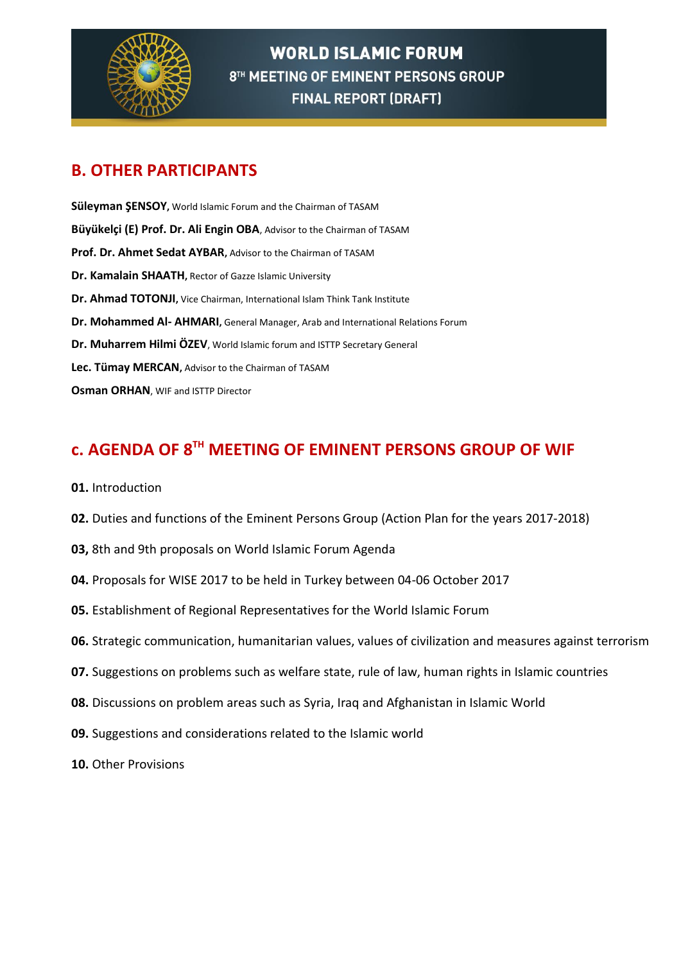

#### **B. OTHER PARTICIPANTS**

**Süleyman ŞENSOY,** World Islamic Forum and the Chairman of TASAM **Büyükelçi (E) Prof. Dr. Ali Engin OBA**, Advisor to the Chairman of TASAM **Prof. Dr. Ahmet Sedat AYBAR,** Advisor to the Chairman of TASAM **Dr. Kamalain SHAATH,** Rector of Gazze Islamic University **Dr. Ahmad TOTONJI,** Vice Chairman, International Islam Think Tank Institute **Dr. Mohammed Al- AHMARI,** General Manager, Arab and International Relations Forum **Dr. Muharrem Hilmi ÖZEV**, World Islamic forum and ISTTP Secretary General **Lec. Tümay MERCAN,** Advisor to the Chairman of TASAM **Osman ORHAN**, WIF and ISTTP Director

### **c. AGENDA OF 8TH MEETING OF EMINENT PERSONS GROUP OF WIF**

- **01.** Introduction
- **02.** Duties and functions of the Eminent Persons Group (Action Plan for the years 2017-2018)
- **03,** 8th and 9th proposals on World Islamic Forum Agenda
- **04.** Proposals for WISE 2017 to be held in Turkey between 04-06 October 2017
- **05.** Establishment of Regional Representatives for the World Islamic Forum
- **06.** Strategic communication, humanitarian values, values of civilization and measures against terrorism
- **07.** Suggestions on problems such as welfare state, rule of law, human rights in Islamic countries
- **08.** Discussions on problem areas such as Syria, Iraq and Afghanistan in Islamic World
- **09.** Suggestions and considerations related to the Islamic world
- **10.** Other Provisions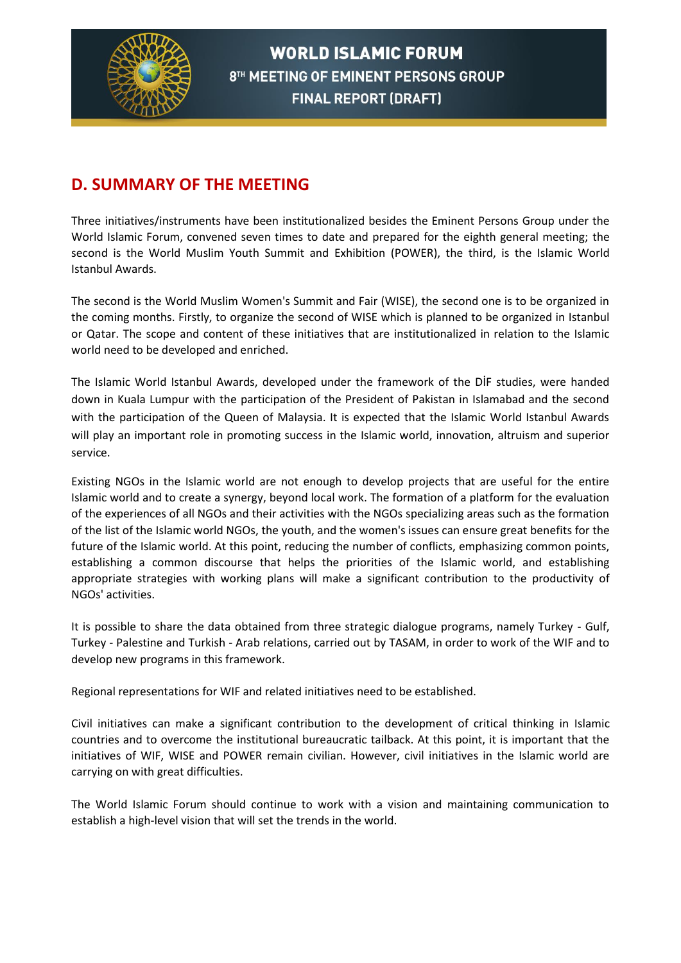

#### **D. SUMMARY OF THE MEETING**

Three initiatives/instruments have been institutionalized besides the Eminent Persons Group under the World Islamic Forum, convened seven times to date and prepared for the eighth general meeting; the second is the World Muslim Youth Summit and Exhibition (POWER), the third, is the Islamic World Istanbul Awards.

The second is the World Muslim Women's Summit and Fair (WISE), the second one is to be organized in the coming months. Firstly, to organize the second of WISE which is planned to be organized in Istanbul or Qatar. The scope and content of these initiatives that are institutionalized in relation to the Islamic world need to be developed and enriched.

The Islamic World Istanbul Awards, developed under the framework of the DİF studies, were handed down in Kuala Lumpur with the participation of the President of Pakistan in Islamabad and the second with the participation of the Queen of Malaysia. It is expected that the Islamic World Istanbul Awards will play an important role in promoting success in the Islamic world, innovation, altruism and superior service.

Existing NGOs in the Islamic world are not enough to develop projects that are useful for the entire Islamic world and to create a synergy, beyond local work. The formation of a platform for the evaluation of the experiences of all NGOs and their activities with the NGOs specializing areas such as the formation of the list of the Islamic world NGOs, the youth, and the women's issues can ensure great benefits for the future of the Islamic world. At this point, reducing the number of conflicts, emphasizing common points, establishing a common discourse that helps the priorities of the Islamic world, and establishing appropriate strategies with working plans will make a significant contribution to the productivity of NGOs' activities.

It is possible to share the data obtained from three strategic dialogue programs, namely Turkey - Gulf, Turkey - Palestine and Turkish - Arab relations, carried out by TASAM, in order to work of the WIF and to develop new programs in this framework.

Regional representations for WIF and related initiatives need to be established.

Civil initiatives can make a significant contribution to the development of critical thinking in Islamic countries and to overcome the institutional bureaucratic tailback. At this point, it is important that the initiatives of WIF, WISE and POWER remain civilian. However, civil initiatives in the Islamic world are carrying on with great difficulties.

The World Islamic Forum should continue to work with a vision and maintaining communication to establish a high-level vision that will set the trends in the world.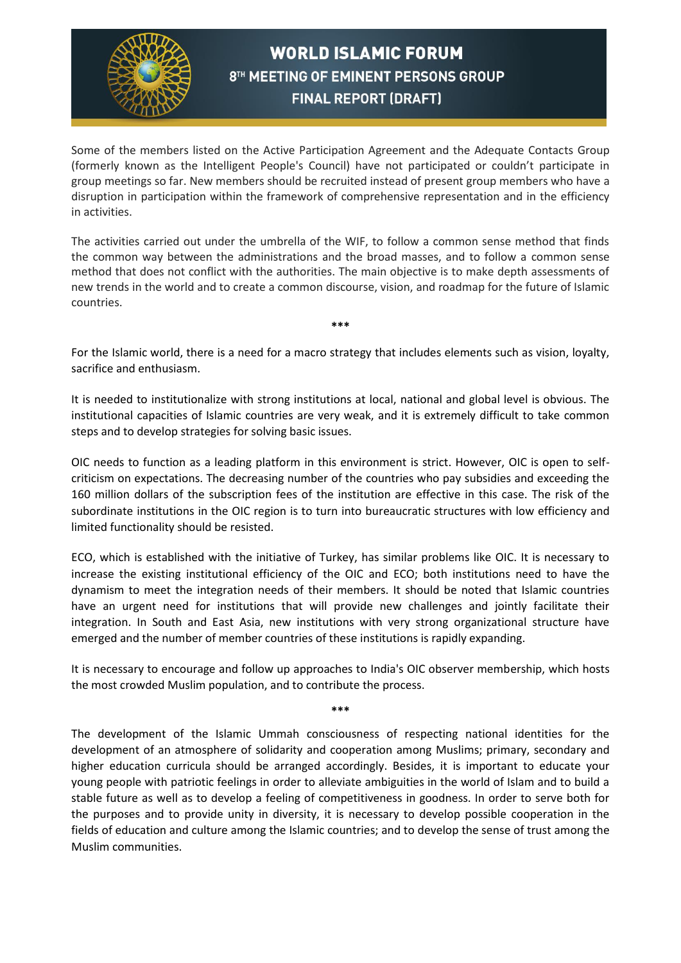

Some of the members listed on the Active Participation Agreement and the Adequate Contacts Group (formerly known as the Intelligent People's Council) have not participated or couldn't participate in group meetings so far. New members should be recruited instead of present group members who have a disruption in participation within the framework of comprehensive representation and in the efficiency in activities.

The activities carried out under the umbrella of the WIF, to follow a common sense method that finds the common way between the administrations and the broad masses, and to follow a common sense method that does not conflict with the authorities. The main objective is to make depth assessments of new trends in the world and to create a common discourse, vision, and roadmap for the future of Islamic countries.

For the Islamic world, there is a need for a macro strategy that includes elements such as vision, loyalty, sacrifice and enthusiasm.

**\*\*\***

It is needed to institutionalize with strong institutions at local, national and global level is obvious. The institutional capacities of Islamic countries are very weak, and it is extremely difficult to take common steps and to develop strategies for solving basic issues.

OIC needs to function as a leading platform in this environment is strict. However, OIC is open to selfcriticism on expectations. The decreasing number of the countries who pay subsidies and exceeding the 160 million dollars of the subscription fees of the institution are effective in this case. The risk of the subordinate institutions in the OIC region is to turn into bureaucratic structures with low efficiency and limited functionality should be resisted.

ECO, which is established with the initiative of Turkey, has similar problems like OIC. It is necessary to increase the existing institutional efficiency of the OIC and ECO; both institutions need to have the dynamism to meet the integration needs of their members. It should be noted that Islamic countries have an urgent need for institutions that will provide new challenges and jointly facilitate their integration. In South and East Asia, new institutions with very strong organizational structure have emerged and the number of member countries of these institutions is rapidly expanding.

It is necessary to encourage and follow up approaches to India's OIC observer membership, which hosts the most crowded Muslim population, and to contribute the process.

**\*\*\***

The development of the Islamic Ummah consciousness of respecting national identities for the development of an atmosphere of solidarity and cooperation among Muslims; primary, secondary and higher education curricula should be arranged accordingly. Besides, it is important to educate your young people with patriotic feelings in order to alleviate ambiguities in the world of Islam and to build a stable future as well as to develop a feeling of competitiveness in goodness. In order to serve both for the purposes and to provide unity in diversity, it is necessary to develop possible cooperation in the fields of education and culture among the Islamic countries; and to develop the sense of trust among the Muslim communities.